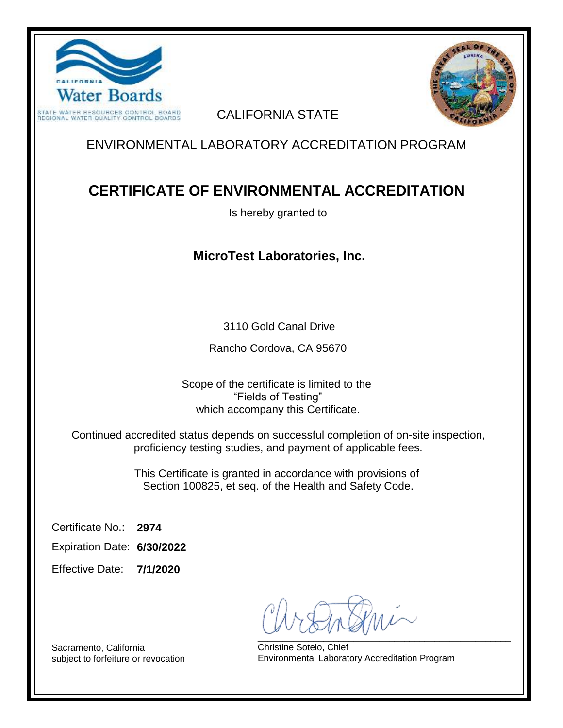



#### CALIFORNIA STATE

## ENVIRONMENTAL LABORATORY ACCREDITATION PROGRAM

# **CERTIFICATE OF ENVIRONMENTAL ACCREDITATION**

Is hereby granted to

### **MicroTest Laboratories, Inc.**

3110 Gold Canal Drive

Rancho Cordova, CA 95670

Scope of the certificate is limited to the "Fields of Testing" which accompany this Certificate.

Continued accredited status depends on successful completion of on-site inspection, proficiency testing studies, and payment of applicable fees.

> This Certificate is granted in accordance with provisions of Section 100825, et seq. of the Health and Safety Code.

**2974** Certificate No.:

**6/30/2022** Expiration Date:

**7/1/2020** Effective Date:

\_\_\_\_\_\_\_\_\_\_\_\_\_\_\_\_\_\_\_\_\_\_\_\_\_\_\_\_\_\_\_\_\_\_\_\_\_\_\_\_\_\_\_\_\_\_\_\_\_\_

Christine Sotelo, Chief Environmental Laboratory Accreditation Program

Sacramento, California subject to forfeiture or revocation